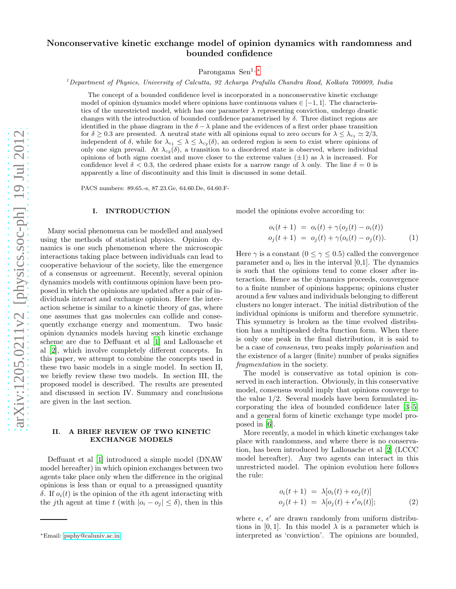# Nonconservative kinetic exchange model of opinion dynamics with randomness and bounded confidence

Parongama Sen1, [∗](#page-0-0)

 $1^I$ Department of Physics, University of Calcutta, 92 Acharya Prafulla Chandra Road, Kolkata 700009, India

The concept of a bounded confidence level is incorporated in a nonconservative kinetic exchange model of opinion dynamics model where opinions have continuous values  $\in [-1,1]$ . The characteristics of the unrestricted model, which has one parameter  $\lambda$  representing conviction, undergo drastic changes with the introduction of bounded confidence parametrised by  $\delta$ . Three distinct regions are identified in the phase diagram in the  $\delta - \lambda$  plane and the evidences of a first order phase transition for  $\delta \geq 0.3$  are presented. A neutral state with all opinions equal to zero occurs for  $\lambda \leq \lambda_{c_1} \simeq 2/3$ , independent of  $\delta$ , while for  $\lambda_{c_1} \leq \lambda \leq \lambda_{c_2}(\delta)$ , an ordered region is seen to exist where opinions of only one sign prevail. At  $\lambda_{c_2}(\delta)$ , a transition to a disordered state is observed, where individual opinions of both signs coexist and move closer to the extreme values  $(\pm 1)$  as  $\lambda$  is increased. For confidence level  $\delta$  < 0.3, the ordered phase exists for a narrow range of  $\lambda$  only. The line  $\delta$  = 0 is apparently a line of discontinuity and this limit is discussed in some detail.

PACS numbers: 89.65.-s, 87.23.Ge, 64.60.De, 64.60.F-

## I. INTRODUCTION

Many social phenomena can be modelled and analysed using the methods of statistical physics. Opinion dynamics is one such phenomenon where the microscopic interactions taking place between individuals can lead to cooperative behaviour of the society, like the emergence of a consensus or agreement. Recently, several opinion dynamics models with continuous opinion have been proposed in which the opinions are updated after a pair of individuals interact and exchange opinion. Here the interaction scheme is similar to a kinetic theory of gas, where one assumes that gas molecules can collide and consequently exchange energy and momentum. Two basic opinion dynamics models having such kinetic exchange scheme are due to Deffuant et al [\[1\]](#page-6-0) and Lallouache et al [\[2](#page-6-1)], which involve completely different concepts. In this paper, we attempt to combine the concepts used in these two basic models in a single model. In section II, we briefly review these two models. In section III, the proposed model is described. The results are presented and discussed in section IV. Summary and conclusions are given in the last section.

#### II. A BRIEF REVIEW OF TWO KINETIC EXCHANGE MODELS

Deffuant et al [\[1\]](#page-6-0) introduced a simple model (DNAW model hereafter) in which opinion exchanges between two agents take place only when the difference in the original opinions is less than or equal to a preassigned quantity δ. If  $o_i(t)$  is the opinion of the *i*th agent interacting with the j<sup>th</sup> agent at time t (with  $|o_i - o_j| \le \delta$ ), then in this model the opinions evolve according to:

$$
o_i(t+1) = o_i(t) + \gamma(o_j(t) - o_i(t))
$$
  
\n
$$
o_j(t+1) = o_j(t) + \gamma(o_i(t) - o_j(t)).
$$
 (1)

Here  $\gamma$  is a constant  $(0 \leq \gamma \leq 0.5)$  called the convergence parameter and  $o_i$  lies in the interval [0,1]. The dynamics is such that the opinions tend to come closer after interaction. Hence as the dynamics proceeds, convergence to a finite number of opinions happens; opinions cluster around a few values and individuals belonging to different clusters no longer interact. The initial distribution of the individual opinions is uniform and therefore symmetric. This symmetry is broken as the time evolved distribution has a multipeaked delta function form. When there is only one peak in the final distribution, it is said to be a case of consensus, two peaks imply polarisation and the existence of a larger (finite) number of peaks signifies fragmentation in the society.

The model is conservative as total opinion is conserved in each interaction. Obviously, in this conservative model, consensus would imply that opinions converge to the value 1/2. Several models have been formulated incorporating the idea of bounded confidence later [\[3](#page-6-2)[–5](#page-6-3)] and a general form of kinetic exchange type model proposed in [\[6](#page-6-4)].

More recently, a model in which kinetic exchanges take place with randomness, and where there is no conservation, has been introduced by Lallouache et al [\[2\]](#page-6-1) (LCCC model hereafter). Any two agents can interact in this unrestricted model. The opinion evolution here follows the rule:

<span id="page-0-1"></span>
$$
o_i(t+1) = \lambda [o_i(t) + \epsilon o_j(t)]
$$
  
\n
$$
o_j(t+1) = \lambda [o_j(t) + \epsilon' o_i(t)];
$$
\n(2)

where  $\epsilon$ ,  $\epsilon'$  are drawn randomly from uniform distributions in [0, 1]. In this model  $\lambda$  is a parameter which is interpreted as 'conviction'. The opinions are bounded,

<span id="page-0-0"></span><sup>∗</sup>Email: [psphy@caluniv.ac.in](mailto:psphy@caluniv.ac.in)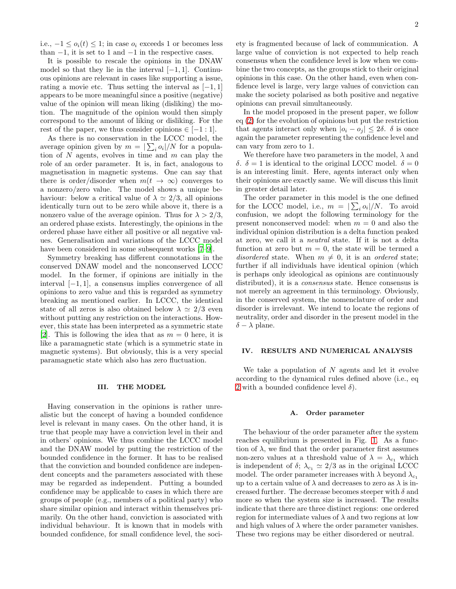i.e.,  $-1 \leq o_i(t) \leq 1$ ; in case  $o_i$  exceeds 1 or becomes less than  $-1$ , it is set to 1 and  $-1$  in the respective cases.

It is possible to rescale the opinions in the DNAW model so that they lie in the interval  $[-1, 1]$ . Continuous opinions are relevant in cases like supporting a issue, rating a movie etc. Thus setting the interval as  $[-1, 1]$ appears to be more meaningful since a positive (negative) value of the opinion will mean liking (disliking) the motion. The magnitude of the opinion would then simply correspond to the amount of liking or disliking. For the rest of the paper, we thus consider opinions  $\in [-1:1]$ .

As there is no conservation in the LCCC model, the average opinion given by  $m = |\sum_i o_i|/N$  for a population of  $N$  agents, evolves in time and  $m$  can play the role of an order parameter. It is, in fact, analogous to magnetisation in magnetic systems. One can say that there is order/disorder when  $m(t \to \infty)$  converges to a nonzero/zero value. The model shows a unique behaviour: below a critical value of  $\lambda \simeq 2/3$ , all opinions identically turn out to be zero while above it, there is a nonzero value of the average opinion. Thus for  $\lambda > 2/3$ , an ordered phase exists. Interestingly, the opinions in the ordered phase have either all positive or all negative values. Generalisation and variations of the LCCC model have been considered in some subsequent works  $[7-9]$ .

Symmetry breaking has different connotations in the conserved DNAW model and the nonconserved LCCC model. In the former, if opinions are initially in the interval [−1, 1], a consensus implies convergence of all opinions to zero value and this is regarded as symmetry breaking as mentioned earlier. In LCCC, the identical state of all zeros is also obtained below  $\lambda \simeq 2/3$  even without putting any restriction on the interactions. However, this state has been interpreted as a symmetric state [\[2\]](#page-6-1). This is following the idea that as  $m = 0$  here, it is like a paramagnetic state (which is a symmetric state in magnetic systems). But obviously, this is a very special paramagnetic state which also has zero fluctuation.

## III. THE MODEL

Having conservation in the opinions is rather unrealistic but the concept of having a bounded confidence level is relevant in many cases. On the other hand, it is true that people may have a conviction level in their and in others' opinions. We thus combine the LCCC model and the DNAW model by putting the restriction of the bounded confidence in the former. It has to be realised that the conviction and bounded confidence are independent concepts and the parameters associated with these may be regarded as independent. Putting a bounded confidence may be applicable to cases in which there are groups of people (e.g., members of a political party) who share similar opinion and interact within themselves primarily. On the other hand, conviction is associated with individual behaviour. It is known that in models with bounded confidence, for small confidence level, the society is fragmented because of lack of communication. A large value of conviction is not expected to help reach consensus when the confidence level is low when we combine the two concepts, as the groups stick to their original opinions in this case. On the other hand, even when confidence level is large, very large values of conviction can make the society polarised as both positive and negative opinions can prevail simultaneously.

In the model proposed in the present paper, we follow eq [\(2\)](#page-0-1) for the evolution of opinions but put the restriction that agents interact only when  $|o_i - o_j| \leq 2\delta$ .  $\delta$  is once again the parameter representing the confidence level and can vary from zero to 1.

We therefore have two parameters in the model,  $\lambda$  and δ.  $\delta = 1$  is identical to the original LCCC model.  $\delta = 0$ is an interesting limit. Here, agents interact only when their opinions are exactly same. We will discuss this limit in greater detail later.

The order parameter in this model is the one defined for the LCCC model, i.e.,  $m = |\sum_i o_i|/N$ . To avoid confusion, we adopt the following terminology for the present nonconserved model: when  $m = 0$  and also the individual opinion distribution is a delta function peaked at zero, we call it a neutral state. If it is not a delta function at zero but  $m = 0$ , the state will be termed a disordered state. When  $m \neq 0$ , it is an ordered state; further if all individuals have identical opinion (which is perhaps only ideological as opinions are continuously distributed), it is a *consensus* state. Hence consensus is not merely an agreement in this terminology. Obviously, in the conserved system, the nomenclature of order and disorder is irrelevant. We intend to locate the regions of neutrality, order and disorder in the present model in the  $\delta - \lambda$  plane.

## IV. RESULTS AND NUMERICAL ANALYSIS

We take a population of  $N$  agents and let it evolve according to the dynamical rules defined above (i.e., eq [2](#page-0-1) with a bounded confidence level  $\delta$ ).

### A. Order parameter

The behaviour of the order parameter after the system reaches equilibrium is presented in Fig. [1.](#page-2-0) As a function of  $\lambda$ , we find that the order parameter first assumes non-zero values at a threshold value of  $\lambda = \lambda_{c_1}$  which is independent of  $\delta$ ;  $\lambda_{c_1} \simeq 2/3$  as in the original LCCC model. The order parameter increases with  $\lambda$  beyond  $\lambda_{c_1}$ up to a certain value of  $\lambda$  and decreases to zero as  $\lambda$  is increased further. The decrease becomes steeper with  $\delta$  and more so when the system size is increased. The results indicate that there are three distinct regions: one ordered region for intermediate values of  $\lambda$  and two regions at low and high values of  $\lambda$  where the order parameter vanishes. These two regions may be either disordered or neutral.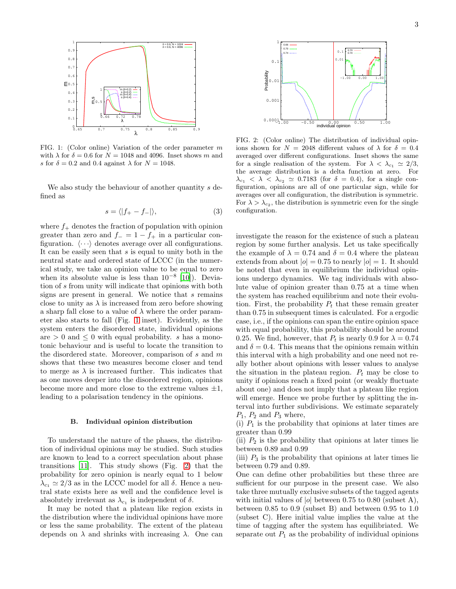

<span id="page-2-0"></span>FIG. 1: (Color online) Variation of the order parameter m with  $\lambda$  for  $\delta = 0.6$  for  $N = 1048$  and 4096. Inset shows m and s for  $\delta = 0.2$  and 0.4 against  $\lambda$  for  $N = 1048$ .

We also study the behaviour of another quantity s defined as

$$
s = \langle |f_{+} - f_{-}| \rangle, \tag{3}
$$

where  $f_+$  denotes the fraction of population with opinion greater than zero and  $f_ - = 1 - f_+$  in a particular configuration.  $\langle \cdots \rangle$  denotes average over all configurations. It can be easily seen that  $s$  is equal to unity both in the neutral state and ordered state of LCCC (in the numerical study, we take an opinion value to be equal to zero when its absolute value is less than  $10^{-8}$  [\[10](#page-6-7)]). Deviation of s from unity will indicate that opinions with both signs are present in general. We notice that  $s$  remains close to unity as  $\lambda$  is increased from zero before showing a sharp fall close to a value of  $\lambda$  where the order parameter also starts to fall (Fig. [1](#page-2-0) inset). Evidently, as the system enters the disordered state, individual opinions are  $> 0$  and  $\leq 0$  with equal probability. s has a monotonic behaviour and is useful to locate the transition to the disordered state. Moreover, comparison of  $s$  and  $m$ shows that these two measures become closer and tend to merge as  $\lambda$  is increased further. This indicates that as one moves deeper into the disordered region, opinions become more and more close to the extreme values  $\pm 1$ , leading to a polarisation tendency in the opinions.

#### B. Individual opinion distribution

To understand the nature of the phases, the distribution of individual opinions may be studied. Such studies are known to lead to a correct speculation about phase transitions [\[11\]](#page-6-8). This study shows (Fig. [2\)](#page-2-1) that the probability for zero opinion is nearly equal to 1 below  $\lambda_{c_1} \simeq 2/3$  as in the LCCC model for all  $\delta$ . Hence a neutral state exists here as well and the confidence level is absolutely irrelevant as  $\lambda_{c_1}$  is independent of  $\delta$ .

It may be noted that a plateau like region exists in the distribution where the individual opinions have more or less the same probability. The extent of the plateau depends on  $\lambda$  and shrinks with increasing  $\lambda$ . One can



<span id="page-2-1"></span>FIG. 2: (Color online) The distribution of individual opinions shown for  $N = 2048$  different values of  $\lambda$  for  $\delta = 0.4$ averaged over different configurations. Inset shows the same for a single realisation of the system. For  $\lambda < \lambda_{c_1} \simeq 2/3$ , the average distribution is a delta function at zero. For  $\lambda_{c_1}$  <  $\lambda$  <  $\lambda_{c_2}$   $\simeq$  0.7183 (for  $\delta = 0.4$ ), for a single configuration, opinions are all of one particular sign, while for averages over all configuration, the distribution is symmetric. For  $\lambda > \lambda_{c_2}$ , the distribution is symmetric even for the single configuration.

investigate the reason for the existence of such a plateau region by some further analysis. Let us take specifically the example of  $\lambda = 0.74$  and  $\delta = 0.4$  where the plateau extends from about  $|o| = 0.75$  to nearly  $|o| = 1$ . It should be noted that even in equilibrium the individual opinions undergo dynamics. We tag individuals with absolute value of opinion greater than 0.75 at a time when the system has reached equilibrium and note their evolution. First, the probability  $P_t$  that these remain greater than 0.75 in subsequent times is calculated. For a ergodic case, i.e., if the opinions can span the entire opinion space with equal probability, this probability should be around 0.25. We find, however, that  $P_t$  is nearly 0.9 for  $\lambda = 0.74$ and  $\delta = 0.4$ . This means that the opinions remain within this interval with a high probability and one need not really bother about opinions with lesser values to analyse the situation in the plateau region.  $P_t$  may be close to unity if opinions reach a fixed point (or weakly fluctuate about one) and does not imply that a plateau like region will emerge. Hence we probe further by splitting the interval into further subdivisions. We estimate separately  $P_1$ ,  $P_2$  and  $P_3$  where,

(i)  $P_1$  is the probability that opinions at later times are greater than 0.99

(ii)  $P_2$  is the probability that opinions at later times lie between 0.89 and 0.99

(iii)  $P_3$  is the probability that opinions at later times lie between 0.79 and 0.89.

One can define other probabilities but these three are sufficient for our purpose in the present case. We also take three mutually exclusive subsets of the tagged agents with initial values of  $|o|$  between 0.75 to 0.80 (subset A), between 0.85 to 0.9 (subset B) and between 0.95 to 1.0 (subset C). Here initial value implies the value at the time of tagging after the system has equilibriated. We separate out  $P_1$  as the probability of individual opinions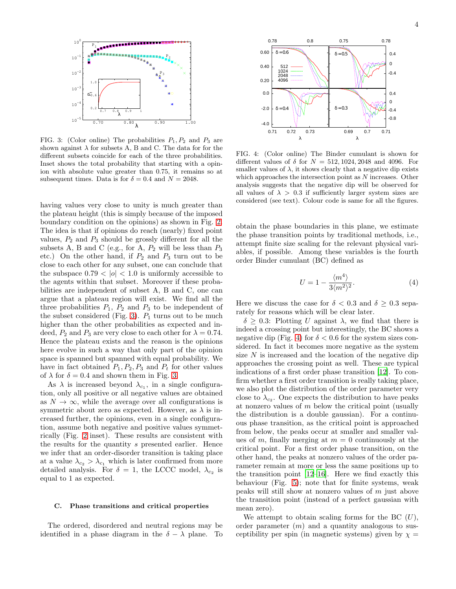

<span id="page-3-0"></span>FIG. 3: (Color online) The probabilities  $P_1, P_2$  and  $P_3$  are shown against  $\lambda$  for subsets A, B and C. The data for for the different subsets coincide for each of the three probabilities. Inset shows the total probability that starting with a opinion with absolute value greater than 0.75, it remains so at subsequent times. Data is for  $\delta = 0.4$  and  $N = 2048$ .

having values very close to unity is much greater than the plateau height (this is simply because of the imposed boundary condition on the opinions) as shown in Fig. [2.](#page-2-1) The idea is that if opinions do reach (nearly) fixed point values,  $P_2$  and  $P_3$  should be grossly different for all the subsets A, B and C (e.g., for A,  $P_2$  will be less than  $P_3$ etc.) On the other hand, if  $P_2$  and  $P_3$  turn out to be close to each other for any subset, one can conclude that the subspace  $0.79 < |o| < 1.0$  is uniformly accessible to the agents within that subset. Moreover if these probabilities are independent of subset A, B and C, one can argue that a plateau region will exist. We find all the three probabilities  $P_1$ ,  $P_2$  and  $P_3$  to be independent of the subset considered (Fig. [3\)](#page-3-0).  $P_1$  turns out to be much higher than the other probabilities as expected and indeed,  $P_2$  and  $P_3$  are very close to each other for  $\lambda = 0.74$ . Hence the plateau exists and the reason is the opinions here evolve in such a way that only part of the opinion space is spanned but spanned with equal probability. We have in fact obtained  $P_1, P_2, P_3$  and  $P_t$  for other values of  $\lambda$  for  $\delta = 0.4$  and shown them in Fig. [3.](#page-3-0)

As  $\lambda$  is increased beyond  $\lambda_{c_1}$ , in a single configuration, only all positive or all negative values are obtained as  $N \to \infty$ , while the average over all configurations is symmetric about zero as expected. However, as  $\lambda$  is increased further, the opinions, even in a single configuration, assume both negative and positive values symmetrically (Fig. [2](#page-2-1) inset). These results are consistent with the results for the quantity s presented earlier. Hence we infer that an order-disorder transition is taking place at a value  $\lambda_{c_2} > \lambda_{c_1}$  which is later confirmed from more detailed analysis. For  $\delta = 1$ , the LCCC model,  $\lambda_{c_2}$  is equal to 1 as expected.

## C. Phase transitions and critical properties

The ordered, disordered and neutral regions may be identified in a phase diagram in the  $\delta - \lambda$  plane. To



<span id="page-3-1"></span>FIG. 4: (Color online) The Binder cumulant is shown for different values of  $\delta$  for  $N = 512, 1024, 2048$  and 4096. For smaller values of  $\lambda$ , it shows clearly that a negative dip exists which approaches the intersection point as N increases. Other analysis suggests that the negative dip will be observed for all values of  $\lambda > 0.3$  if sufficiently larger system sizes are considered (see text). Colour code is same for all the figures.

obtain the phase boundaries in this plane, we estimate the phase transition points by traditional methods, i.e., attempt finite size scaling for the relevant physical variables, if possible. Among these variables is the fourth order Binder cumulant (BC) defined as

$$
U = 1 - \frac{\langle m^4 \rangle}{3 \langle m^2 \rangle^2}.
$$
 (4)

Here we discuss the case for  $\delta < 0.3$  and  $\delta \geq 0.3$  separately for reasons which will be clear later.

 $\delta \geq 0.3$ : Plotting U against  $\lambda$ , we find that there is indeed a crossing point but interestingly, the BC shows a negative dip (Fig. [4\)](#page-3-1) for  $\delta < 0.6$  for the system sizes considered. In fact it becomes more negative as the system size  $N$  is increased and the location of the negative dip approaches the crossing point as well. These are typical indications of a first order phase transition [\[12](#page-6-9)]. To confirm whether a first order transition is really taking place, we also plot the distribution of the order parameter very close to  $\lambda_{c_2}$ . One expects the distribution to have peaks at nonzero values of m below the critical point (usually the distribution is a double gaussian). For a continuous phase transition, as the critical point is approached from below, the peaks occur at smaller and smaller values of m, finally merging at  $m = 0$  continuously at the critical point. For a first order phase transition, on the other hand, the peaks at nonzero values of the order parameter remain at more or less the same positions up to the transition point [\[12](#page-6-9)[–16\]](#page-6-10). Here we find exactly this behaviour (Fig. [5\)](#page-4-0); note that for finite systems, weak peaks will still show at nonzero values of m just above the transition point (instead of a perfect gaussian with mean zero).

We attempt to obtain scaling forms for the BC  $(U)$ , order parameter  $(m)$  and a quantity analogous to susceptibility per spin (in magnetic systems) given by  $\chi =$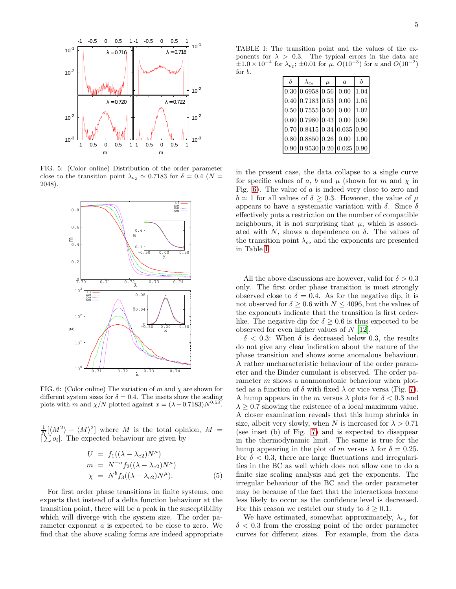

FIG. 5: (Color online) Distribution of the order parameter close to the transition point  $\lambda_{c_2} \simeq 0.7183$  for  $\delta = 0.4$  (N = 2048).

<span id="page-4-0"></span>

<span id="page-4-1"></span>FIG. 6: (Color online) The variation of m and  $\chi$  are shown for different system sizes for  $\delta = 0.4$ . The insets show the scaling plots with m and  $\chi/N$  plotted against  $x = (\lambda - 0.7183)N^{0.53}$ .

 $\frac{1}{N} [ \langle M^2 \rangle - \langle M \rangle^2 ]$  where M is the total opinion,  $M =$  $|\sum o_i|$ . The expected behaviour are given by

$$
U = f_1((\lambda - \lambda_{c2})N^{\mu})
$$
  
\n
$$
m = N^{-a} f_2((\lambda - \lambda_{c2})N^{\mu})
$$
  
\n
$$
\chi = N^{b} f_3((\lambda - \lambda_{c2})N^{\mu}).
$$
\n(5)

For first order phase transitions in finite systems, one expects that instead of a delta function behaviour at the transition point, there will be a peak in the susceptibility which will diverge with the system size. The order parameter exponent a is expected to be close to zero. We find that the above scaling forms are indeed appropriate

TABLE I: The transition point and the values of the exponents for  $\lambda > 0.3$ . The typical errors in the data are  $\pm 1.0 \times 10^{-4}$  for  $\lambda_{c_2}$ ;  $\pm 0.01$  for  $\mu$ ,  $O(10^{-3})$  for a and  $O(10^{-2})$ for b.

<span id="page-4-2"></span>

| δ | $\lambda_{c_2}$                                                                                                                                                                                                                                                                      | $\mu$ | $\alpha$ |  |
|---|--------------------------------------------------------------------------------------------------------------------------------------------------------------------------------------------------------------------------------------------------------------------------------------|-------|----------|--|
|   | $0.30 \mid 0.6958 \mid 0.56 \mid 0.00 \mid 1.04$                                                                                                                                                                                                                                     |       |          |  |
|   | $0.40 \big  0.7183 \big  0.53 \big  0.00 \big  1.05$                                                                                                                                                                                                                                 |       |          |  |
|   | $0.50 \mid 0.7555 \mid 0.50 \mid 0.00 \mid 1.02 \mid$                                                                                                                                                                                                                                |       |          |  |
|   | $0.60 \big  0.7980 \big  0.43 \big  0.00 \big  0.90$                                                                                                                                                                                                                                 |       |          |  |
|   | $0.70 \big  0.8415 \big  0.34 \big  0.035 \big  0.90$                                                                                                                                                                                                                                |       |          |  |
|   | $0.80 \,   0.8850 \,   0.26 \,   0.00 \,   1.00 \,   1.00 \,   1.00 \,   1.00 \,   1.00 \,   1.00 \,   1.00 \,   1.00 \,   1.00 \,   1.00 \,   1.00 \,   1.00 \,   1.00 \,   1.00 \,   1.00 \,   1.00 \,   1.00 \,   1.00 \,   1.00 \,   1.00 \,   1.00 \,   1.00 \,   1.00 \,   1.$ |       |          |  |
|   | $0.90 \mid 0.9530 \mid 0.20 \mid 0.025 \mid 0.90$                                                                                                                                                                                                                                    |       |          |  |

in the present case, the data collapse to a single curve for specific values of a, b and  $\mu$  (shown for m and  $\chi$  in Fig. [6\)](#page-4-1). The value of a is indeed very close to zero and  $b \simeq 1$  for all values of  $\delta > 0.3$ . However, the value of  $\mu$ appears to have a systematic variation with  $\delta$ . Since  $\delta$ effectively puts a restriction on the number of compatible neighbours, it is not surprising that  $\mu$ , which is associated with  $N$ , shows a dependence on  $\delta$ . The values of the transition point  $\lambda_{c_2}$  and the exponents are presented in Table [I.](#page-4-2)

All the above discussions are however, valid for  $\delta > 0.3$ only. The first order phase transition is most strongly observed close to  $\delta = 0.4$ . As for the negative dip, it is not observed for  $\delta \geq 0.6$  with  $N \leq 4096$ , but the values of the exponents indicate that the transition is first orderlike. The negative dip for  $\delta \geq 0.6$  is thus expected to be observed for even higher values of N [\[12\]](#page-6-9).

 $\delta$  < 0.3: When  $\delta$  is decreased below 0.3, the results do not give any clear indication about the nature of the phase transition and shows some anomalous behaviour. A rather uncharacteristic behaviour of the order parameter and the Binder cumulant is observed. The order parameter  $m$  shows a nonmonotonic behaviour when plotted as a function of  $\delta$  with fixed  $\lambda$  or vice versa (Fig. [7\)](#page-5-0). A hump appears in the m versus  $\lambda$  plots for  $\delta$  < 0.3 and  $\lambda \geq 0.7$  showing the existence of a local maximum value. A closer examination reveals that this hump shrinks in size, albeit very slowly, when N is increased for  $\lambda > 0.71$ (see inset (b) of Fig. [7\)](#page-5-0) and is expected to disappear in the thermodynamic limit. The same is true for the hump appearing in the plot of m versus  $\lambda$  for  $\delta = 0.25$ . For  $\delta$  < 0.3, there are large fluctuations and irregularities in the BC as well which does not allow one to do a finite size scaling analysis and get the exponents. The irregular behaviour of the BC and the order parameter may be because of the fact that the interactions become less likely to occur as the confidence level is decreased. For this reason we restrict our study to  $\delta \geq 0.1$ .

We have estimated, somewhat approximately,  $\lambda_{c_2}$  for  $\delta$  < 0.3 from the crossing point of the order parameter curves for different sizes. For example, from the data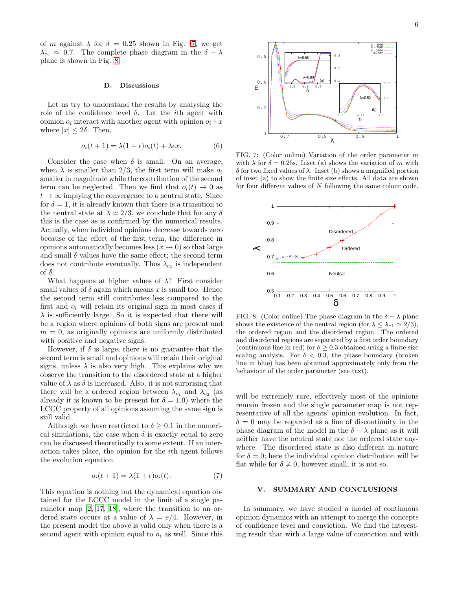#### D. Discussions

Let us try to understand the results by analysing the role of the confidence level  $\delta$ . Let the *i*th agent with opinion  $o_i$  interact with another agent with opinion  $o_i+x$ where  $|x| \leq 2\delta$ . Then,

$$
o_i(t+1) = \lambda(1+\epsilon)o_i(t) + \lambda \epsilon x.
$$
 (6)

Consider the case when  $\delta$  is small. On an average, when  $\lambda$  is smaller than 2/3, the first term will make  $o_i$ smaller in magnitude while the contribution of the second term can be neglected. Then we find that  $o_i(t) \rightarrow 0$  as  $t \to \infty$  implying the convergence to a neutral state. Since for  $\delta = 1$ , it is already known that there is a transition to the neutral state at  $\lambda \simeq 2/3$ , we conclude that for any  $\delta$ this is the case as is confirmed by the numerical results. Actually, when individual opinions decrease towards zero because of the effect of the first term, the difference in opinions automatically becomes less  $(x \to 0)$  so that large and small  $\delta$  values have the same effect; the second term does not contribute eventually. Thus  $\lambda_{c_1}$  is independent of  $\delta$ .

What happens at higher values of  $\lambda$ ? First consider small values of  $\delta$  again which means x is small too. Hence the second term still contributes less compared to the first and  $o_i$  will retain its original sign in most cases if  $\lambda$  is sufficiently large. So it is expected that there will be a region where opinions of both signs are present and  $m = 0$ , as originally opinions are uniformly distributed with positive and negative signs.

However, if  $\delta$  is large, there is no guarantee that the second term is small and opinions will retain their original signs, unless  $\lambda$  is also very high. This explains why we observe the transition to the disordered state at a higher value of  $\lambda$  as  $\delta$  is increased. Also, it is not surprising that there will be a ordered region between  $\lambda_{c_1}$  and  $\lambda_{c_2}$  (as already it is known to be present for  $\delta = 1.0$ ) where the LCCC property of all opinions assuming the same sign is still valid.

Although we have restricted to  $\delta \geq 0.1$  in the numerical simulations, the case when  $\delta$  is exactly equal to zero can be discussed theoretically to some extent. If an interaction takes place, the opinion for the ith agent follows the evolution equation

$$
o_i(t+1) = \lambda(1+\epsilon)o_i(t). \tag{7}
$$

This equation is nothing but the dynamical equation obtained for the LCCC model in the limit of a single parameter map [\[2,](#page-6-1) [17](#page-6-11), [18\]](#page-6-12), where the transition to an ordered state occurs at a value of  $\lambda = e/4$ . However, in the present model the above is valid only when there is a second agent with opinion equal to  $o_i$  as well. Since this



<span id="page-5-0"></span>FIG. 7: (Color online) Variation of the order parameter m with  $\lambda$  for  $\delta = 0.25$ s. Inset (a) shows the variation of m with δ for two fixed values of λ. Inset (b) shows a magnified portion of inset (a) to show the finite size effects. All data are shown for four different values of N following the same colour code.



<span id="page-5-1"></span>FIG. 8: (Color online) The phase diagram in the  $\delta - \lambda$  plane shows the existence of the neutral region (for  $\lambda \leq \lambda_{c1} \simeq 2/3$ ), the ordered region and the disordered region. The ordered and disordered regions are separated by a first order boundary (continuous line in red) for  $\delta > 0.3$  obtained using a finite size scaling analysis. For  $\delta$  < 0.3, the phase boundary (broken line in blue) has been obtained approximately only from the behaviour of the order parameter (see text).

will be extremely rare, effectively most of the opinions remain frozen and the single parameter map is not representative of all the agents' opinion evolution. In fact,  $\delta = 0$  may be regarded as a line of discontinuity in the phase diagram of the model in the  $\delta - \lambda$  plane as it will neither have the neutral state nor the ordered state anywhere. The disordered state is also different in nature for  $\delta = 0$ ; here the individual opinion distribution will be flat while for  $\delta \neq 0$ , however small, it is not so.

## V. SUMMARY AND CONCLUSIONS

In summary, we have studied a model of continuous opinion dynamics with an attempt to merge the concepts of confidence level and conviction. We find the interesting result that with a large value of conviction and with